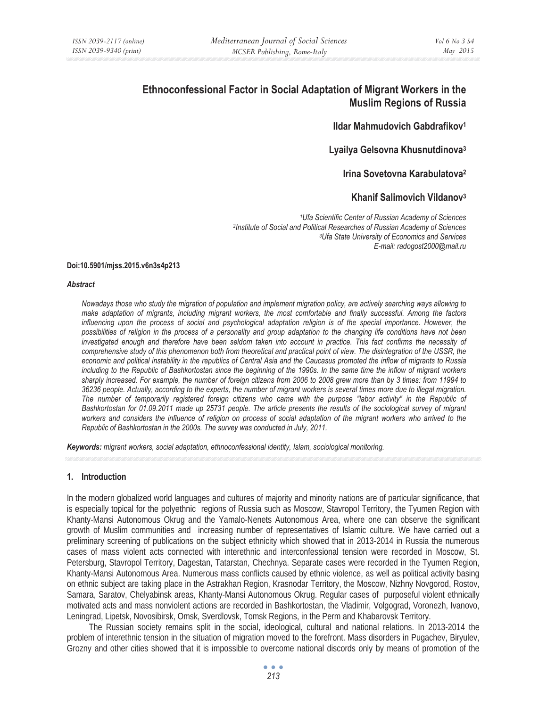# **Ethnoconfessional Factor in Social Adaptation of Migrant Workers in the Muslim Regions of Russia**

# **Ildar Mahmudovich Gabdrafikov1**

# **Lyailya Gelsovna Khusnutdinova3**

# **Irina Sovetovna Karabulatova2**

# **Khanif Salimovich Vildanov3**

*1Ufa Scientific Center of Russian Academy of Sciences 2Institute of Social and Political Researches of Russian Academy of Sciences 3Ufa State University of Economics and Services E-mail: radogost2000@mail.ru* 

#### **Doi:10.5901/mjss.2015.v6n3s4p213**

#### *Abstract*

*Nowadays those who study the migration of population and implement migration policy, are actively searching ways allowing to make adaptation of migrants, including migrant workers, the most comfortable and finally successful. Among the factors influencing upon the process of social and psychological adaptation religion is of the special importance. However, the possibilities of religion in the process of a personality and group adaptation to the changing life conditions have not been*  investigated enough and therefore have been seldom taken into account in practice. This fact confirms the necessity of comprehensive study of this phenomenon both from theoretical and practical point of view. The disintegration of the USSR, the *economic and political instability in the republics of Central Asia and the Caucasus promoted the inflow of migrants to Russia including to the Republic of Bashkortostan since the beginning of the 1990s. In the same time the inflow of migrant workers sharply increased. For example, the number of foreign citizens from 2006 to 2008 grew more than by 3 times: from 11994 to 36236 people. Actually, according to the experts, the number of migrant workers is several times more due to illegal migration.* The number of temporarily registered foreign citizens who came with the purpose "labor activity" in the Republic of *Bashkortostan for 01.09.2011 made up 25731 people. The article presents the results of the sociological survey of migrant*  workers and considers the influence of religion on process of social adaptation of the migrant workers who arrived to the *Republic of Bashkortostan in the 2000s. The survey was conducted in July, 2011.* 

*Keywords: migrant workers, social adaptation, ethnoconfessional identity, Islam, sociological monitoring.*

#### **1. Introduction**

In the modern globalized world languages and cultures of majority and minority nations are of particular significance, that is especially topical for the polyethnic regions of Russia such as Moscow, Stavropol Territory, the Tyumen Region with Khanty-Mansi Autonomous Okrug and the Yamalo-Nenets Autonomous Area, where one can observe the significant growth of Muslim communities and increasing number of representatives of Islamic culture. We have carried out a preliminary screening of publications on the subject ethnicity which showed that in 2013-2014 in Russia the numerous cases of mass violent acts connected with interethnic and interconfessional tension were recorded in Moscow, St. Petersburg, Stavropol Territory, Dagestan, Tatarstan, Chechnya. Separate cases were recorded in the Tyumen Region, Khanty-Mansi Autonomous Area. Numerous mass conflicts caused by ethnic violence, as well as political activity basing on ethnic subject are taking place in the Astrakhan Region, Krasnodar Territory, the Moscow, Nizhny Novgorod, Rostov, Samara, Saratov, Chelyabinsk areas, Khanty-Mansi Autonomous Okrug. Regular cases of purposeful violent ethnically motivated acts and mass nonviolent actions are recorded in Bashkortostan, the Vladimir, Volgograd, Voronezh, Ivanovo, Leningrad, Lipetsk, Novosibirsk, Omsk, Sverdlovsk, Tomsk Regions, in the Perm and Khabarovsk Territory.

The Russian society remains split in the social, ideological, cultural and national relations. In 2013-2014 the problem of interethnic tension in the situation of migration moved to the forefront. Mass disorders in Pugachev, Biryulev, Grozny and other cities showed that it is impossible to overcome national discords only by means of promotion of the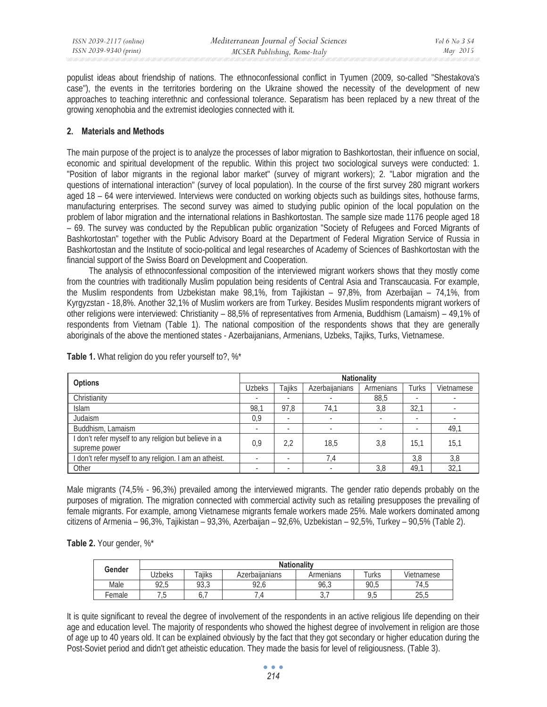populist ideas about friendship of nations. The ethnoconfessional conflict in Tyumen (2009, so-called "Shestakova's case"), the events in the territories bordering on the Ukraine showed the necessity of the development of new approaches to teaching interethnic and confessional tolerance. Separatism has been replaced by a new threat of the growing xenophobia and the extremist ideologies connected with it.

### **2. Materials and Methods**

The main purpose of the project is to analyze the processes of labor migration to Bashkortostan, their influence on social, economic and spiritual development of the republic. Within this project two sociological surveys were conducted: 1. "Position of labor migrants in the regional labor market" (survey of migrant workers); 2. "Labor migration and the questions of international interaction" (survey of local population). In the course of the first survey 280 migrant workers aged 18 – 64 were interviewed. Interviews were conducted on working objects such as buildings sites, hothouse farms, manufacturing enterprises. The second survey was aimed to studying public opinion of the local population on the problem of labor migration and the international relations in Bashkortostan. The sample size made 1176 people aged 18 – 69. The survey was conducted by the Republican public organization "Society of Refugees and Forced Migrants of Bashkortostan" together with the Public Advisory Board at the Department of Federal Migration Service of Russia in Bashkortostan and the Institute of socio-political and legal researches of Academy of Sciences of Bashkortostan with the financial support of the Swiss Board on Development and Cooperation.

The analysis of ethnoconfessional composition of the interviewed migrant workers shows that they mostly come from the countries with traditionally Muslim population being residents of Central Asia and Transcaucasia. For example, the Muslim respondents from Uzbekistan make 98,1%, from Tajikistan – 97,8%, from Azerbaijan – 74,1%, from Kyrgyzstan - 18,8%. Another 32,1% of Muslim workers are from Turkey. Besides Muslim respondents migrant workers of other religions were interviewed: Christianity – 88,5% of representatives from Armenia, Buddhism (Lamaism) – 49,1% of respondents from Vietnam (Table 1). The national composition of the respondents shows that they are generally aboriginals of the above the mentioned states - Azerbaijanians, Armenians, Uzbeks, Tajiks, Turks, Vietnamese.

| <b>Options</b>                                                         | <b>Nationality</b>       |                          |                |           |                          |                 |  |  |
|------------------------------------------------------------------------|--------------------------|--------------------------|----------------|-----------|--------------------------|-----------------|--|--|
|                                                                        | Uzbeks                   | <b>Tailks</b>            | Azerbailanians | Armenians | Turks                    | Vietnamese      |  |  |
| Christianity                                                           | $\overline{\phantom{a}}$ | ۰                        |                | 88,5      | $\overline{\phantom{a}}$ |                 |  |  |
| <b>Islam</b>                                                           | 98,1                     | 97.8                     | 74,1           | 3,8       | 32,1                     |                 |  |  |
| Judaism                                                                | 0,9                      | $\overline{\phantom{a}}$ |                |           | $\overline{\phantom{a}}$ |                 |  |  |
| Buddhism, Lamaism                                                      | $\overline{\phantom{a}}$ |                          |                |           | $\overline{\phantom{a}}$ | 49,1            |  |  |
| I don't refer myself to any religion but believe in a<br>supreme power | 0,9                      | 2,2                      | 18,5           | 3,8       | 15.1                     | 15,1            |  |  |
| I don't refer myself to any religion. I am an atheist.                 | $\overline{a}$           | ۰                        | 7,4            |           | 3,8                      | 3,8             |  |  |
| Other                                                                  | $\overline{\phantom{a}}$ | ۰                        |                | 3,8       | 49,1                     | 32 <sub>1</sub> |  |  |

**Table 1.** What religion do you refer yourself to?, %\*

Male migrants (74,5% - 96,3%) prevailed among the interviewed migrants. The gender ratio depends probably on the purposes of migration. The migration connected with commercial activity such as retailing presupposes the prevailing of female migrants. For example, among Vietnamese migrants female workers made 25%. Male workers dominated among citizens of Armenia – 96,3%, Tajikistan – 93,3%, Azerbaijan – 92,6%, Uzbekistan – 92,5%, Turkey – 90,5% (Table 2).

#### **Table 2.** Your gender, %\*

| Gender | <b>Nationality</b> |            |                |           |          |            |  |  |  |
|--------|--------------------|------------|----------------|-----------|----------|------------|--|--|--|
|        | Jzbeks             | Taiiks     | Azerbailanians | Armenians | ⊺urks    | Vietnamese |  |  |  |
| Male   | 92,5               | 93,3       | 92,6           | 96,3      | 90,5     | 74,5       |  |  |  |
| Female | ں ،                | <b>U.,</b> |                | ، ب       | ь<br>ں ، | 25,5       |  |  |  |

It is quite significant to reveal the degree of involvement of the respondents in an active religious life depending on their age and education level. The majority of respondents who showed the highest degree of involvement in religion are those of age up to 40 years old. It can be explained obviously by the fact that they got secondary or higher education during the Post-Soviet period and didn't get atheistic education. They made the basis for level of religiousness. (Table 3).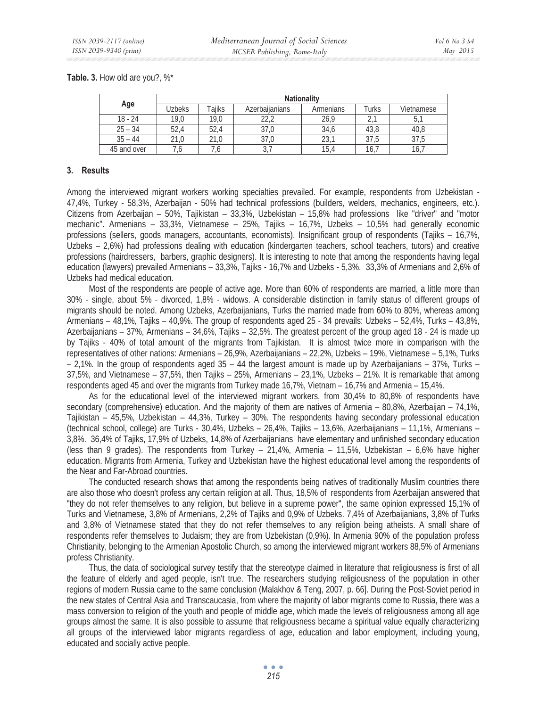**Table. 3.** How old are you?, %\*

|             | <b>Nationality</b> |               |                |           |        |            |  |  |  |
|-------------|--------------------|---------------|----------------|-----------|--------|------------|--|--|--|
| Age         | <b>Jzbeks</b>      | <b>Taiiks</b> | Azerbailanians | Armenians | Turks  | Vietnamese |  |  |  |
| $18 - 24$   | 19.0               | 19.0          | າາ າ<br>ے , ے  | 26,9      | $\sim$ | b,         |  |  |  |
| $25 - 34$   | 52,4               | 52,4          | 37.0           | 34,6      | 43.8   | 40,8       |  |  |  |
| $35 - 44$   | 21.0               | 21.0          | 37,0           | 23        | 37.5   | 37,5       |  |  |  |
| 45 and over |                    | .0            | J, 1           | 15,4      | 16,    | 16.        |  |  |  |

#### **3. Results**

Among the interviewed migrant workers working specialties prevailed. For example, respondents from Uzbekistan - 47,4%, Turkey - 58,3%, Azerbaijan - 50% had technical professions (builders, welders, mechanics, engineers, etc.). Citizens from Azerbaijan – 50%, Tajikistan – 33,3%, Uzbekistan – 15,8% had professions like "driver" and "motor mechanic". Armenians – 33,3%, Vietnamese – 25%, Tajiks – 16,7%, Uzbeks – 10,5% had generally economic professions (sellers, goods managers, accountants, economists). Insignificant group of respondents (Tajiks – 16,7%, Uzbeks – 2,6%) had professions dealing with education (kindergarten teachers, school teachers, tutors) and creative professions (hairdressers, barbers, graphic designers). It is interesting to note that among the respondents having legal education (lawyers) prevailed Armenians – 33,3%, Tajiks - 16,7% and Uzbeks - 5,3%. 33,3% of Armenians and 2,6% of Uzbeks had medical education.

Most of the respondents are people of active age. More than 60% of respondents are married, a little more than 30% - single, about 5% - divorced, 1,8% - widows. A considerable distinction in family status of different groups of migrants should be noted. Among Uzbeks, Azerbaijanians, Turks the married made from 60% to 80%, whereas among Armenians – 48,1%, Tajiks – 40,9%. The group of respondents aged 25 - 34 prevails: Uzbeks – 52,4%, Turks – 43,8%, Azerbaijanians – 37%, Armenians – 34,6%, Tajiks – 32,5%. The greatest percent of the group aged 18 - 24 is made up by Tajiks - 40% of total amount of the migrants from Tajikistan. It is almost twice more in comparison with the representatives of other nations: Armenians – 26,9%, Azerbaijanians – 22,2%, Uzbeks – 19%, Vietnamese – 5,1%, Turks – 2,1%. In the group of respondents aged 35 – 44 the largest amount is made up by Azerbaijanians – 37%, Turks – 37,5%, and Vietnamese – 37,5%, then Tajiks – 25%, Armenians – 23,1%, Uzbeks – 21%. It is remarkable that among respondents aged 45 and over the migrants from Turkey made 16,7%, Vietnam – 16,7% and Armenia – 15,4%.

As for the educational level of the interviewed migrant workers, from 30,4% to 80,8% of respondents have secondary (comprehensive) education. And the majority of them are natives of Armenia – 80,8%, Azerbaijan – 74,1%, Tajikistan – 45,5%, Uzbekistan – 44,3%, Turkey – 30%. The respondents having secondary professional education (technical school, college) are Turks - 30,4%, Uzbeks – 26,4%, Tajiks – 13,6%, Azerbaijanians – 11,1%, Armenians – 3,8%. 36,4% of Tajiks, 17,9% of Uzbeks, 14,8% of Azerbaijanians have elementary and unfinished secondary education (less than 9 grades). The respondents from Turkey – 21,4%, Armenia – 11,5%, Uzbekistan – 6,6% have higher education. Migrants from Armenia, Turkey and Uzbekistan have the highest educational level among the respondents of the Near and Far-Abroad countries.

The conducted research shows that among the respondents being natives of traditionally Muslim countries there are also those who doesn't profess any certain religion at all. Thus, 18,5% of respondents from Azerbaijan answered that "they do not refer themselves to any religion, but believe in a supreme power", the same opinion expressed 15,1% of Turks and Vietnamese, 3,8% of Armenians, 2,2% of Tajiks and 0,9% of Uzbeks. 7,4% of Azerbaijanians, 3,8% of Turks and 3,8% of Vietnamese stated that they do not refer themselves to any religion being atheists. A small share of respondents refer themselves to Judaism; they are from Uzbekistan (0,9%). In Armenia 90% of the population profess Christianity, belonging to the Armenian Apostolic Church, so among the interviewed migrant workers 88,5% of Armenians profess Christianity.

Thus, the data of sociological survey testify that the stereotype claimed in literature that religiousness is first of all the feature of elderly and aged people, isn't true. The researchers studying religiousness of the population in other regions of modern Russia came to the same conclusion (Malakhov & Teng, 2007, p. 66]. During the Post-Soviet period in the new states of Central Asia and Transcaucasia, from where the majority of labor migrants come to Russia, there was a mass conversion to religion of the youth and people of middle age, which made the levels of religiousness among all age groups almost the same. It is also possible to assume that religiousness became a spiritual value equally characterizing all groups of the interviewed labor migrants regardless of age, education and labor employment, including young, educated and socially active people.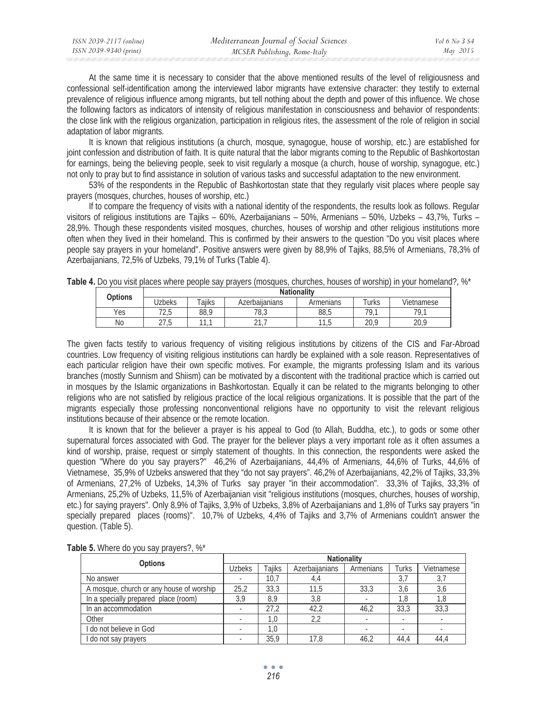At the same time it is necessary to consider that the above mentioned results of the level of religiousness and confessional self-identification among the interviewed labor migrants have extensive character: they testify to external prevalence of religious influence among migrants, but tell nothing about the depth and power of this influence. We chose the following factors as indicators of intensity of religious manifestation in consciousness and behavior of respondents: the close link with the religious organization, participation in religious rites, the assessment of the role of religion in social adaptation of labor migrants.

It is known that religious institutions (a church, mosque, synagogue, house of worship, etc.) are established for joint confession and distribution of faith. It is quite natural that the labor migrants coming to the Republic of Bashkortostan for earnings, being the believing people, seek to visit regularly a mosque (a church, house of worship, synagogue, etc.) not only to pray but to find assistance in solution of various tasks and successful adaptation to the new environment.

53% of the respondents in the Republic of Bashkortostan state that they regularly visit places where people say prayers (mosques, churches, houses of worship, etc.)

If to compare the frequency of visits with a national identity of the respondents, the results look as follows. Regular visitors of religious institutions are Tajiks – 60%, Azerbaijanians – 50%, Armenians – 50%, Uzbeks – 43,7%, Turks – 28,9%. Though these respondents visited mosques, churches, houses of worship and other religious institutions more often when they lived in their homeland. This is confirmed by their answers to the question "Do you visit places where people say prayers in your homeland". Positive answers were given by 88,9% of Tajiks, 88,5% of Armenians, 78,3% of Azerbaijanians, 72,5% of Uzbeks, 79,1% of Turks (Table 4).

| <b>Options</b> |               | <b>Nationality</b> |                |            |            |            |  |  |  |
|----------------|---------------|--------------------|----------------|------------|------------|------------|--|--|--|
| <b>Jzbeks</b>  |               | $\tau$ aiiks       | Azerbailanians | Armenians  | .<br>Turks | Vietnamese |  |  |  |
| Yes            | 7つ に<br>ں ، ے | 88.9               | 78.3           | 88.5       | 70 1       | 79.1       |  |  |  |
| No             | つフ に<br>ں ، ے | $\overline{a}$     | $\sim$         | 11F<br>ں ، | 20.9       | 20,9       |  |  |  |

**Table 4.** Do you visit places where people say prayers (mosques, churches, houses of worship) in your homeland?, %\*

The given facts testify to various frequency of visiting religious institutions by citizens of the CIS and Far-Abroad countries. Low frequency of visiting religious institutions can hardly be explained with a sole reason. Representatives of each particular religion have their own specific motives. For example, the migrants professing Islam and its various branches (mostly Sunnism and Shiism) can be motivated by a discontent with the traditional practice which is carried out in mosques by the Islamic organizations in Bashkortostan. Equally it can be related to the migrants belonging to other religions who are not satisfied by religious practice of the local religious organizations. It is possible that the part of the migrants especially those professing nonconventional religions have no opportunity to visit the relevant religious institutions because of their absence or the remote location.

It is known that for the believer a prayer is his appeal to God (to Allah, Buddha, etc.), to gods or some other supernatural forces associated with God. The prayer for the believer plays a very important role as it often assumes a kind of worship, praise, request or simply statement of thoughts. In this connection, the respondents were asked the question "Where do you say prayers?" 46,2% of Azerbaijanians, 44,4% of Armenians, 44,6% of Turks, 44,6% of Vietnamese, 35,9% of Uzbeks answered that they "do not say prayers". 46,2% of Azerbaijanians, 42,2% of Tajiks, 33,3% of Armenians, 27,2% of Uzbeks, 14,3% of Turks say prayer "in their accommodation". 33,3% of Tajiks, 33,3% of Armenians, 25,2% of Uzbeks, 11,5% of Azerbaijanian visit "religious institutions (mosques, churches, houses of worship, etc.) for saying prayers". Only 8,9% of Tajiks, 3,9% of Uzbeks, 3,8% of Azerbaijanians and 1,8% of Turks say prayers "in specially prepared places (rooms)". 10,7% of Uzbeks, 4,4% of Tajiks and 3,7% of Armenians couldn't answer the question. (Table 5).

| <b>Options</b>                           |               | <b>Nationality</b> |                |           |       |            |  |  |  |  |
|------------------------------------------|---------------|--------------------|----------------|-----------|-------|------------|--|--|--|--|
|                                          | <b>Uzbeks</b> | Taiiks             | Azerbailanians | Armenians | Turks | Vietnamese |  |  |  |  |
| No answer                                |               | 10.7               | 4.4            |           | 3,7   | 3,7        |  |  |  |  |
| A mosque, church or any house of worship | 25,2          | 33.3               | 11,5           | 33.3      | 3,6   | 3,6        |  |  |  |  |
| In a specially prepared place (room)     | 3.9           | 8.9                | 3,8            |           | 1.8   | 1,8        |  |  |  |  |
| In an accommodation                      |               | 27.2               | 42.2           | 46.2      | 33.3  | 33,3       |  |  |  |  |
| Other                                    |               | 1,0                | 2.2            |           | ۰     |            |  |  |  |  |
| I do not believe in God                  |               | 1.0                |                |           |       |            |  |  |  |  |
| do not say prayers                       |               | 35.9               | 17.8           | 46,2      | 44.4  | 44,4       |  |  |  |  |

**Table 5.** Where do you say prayers?, %\*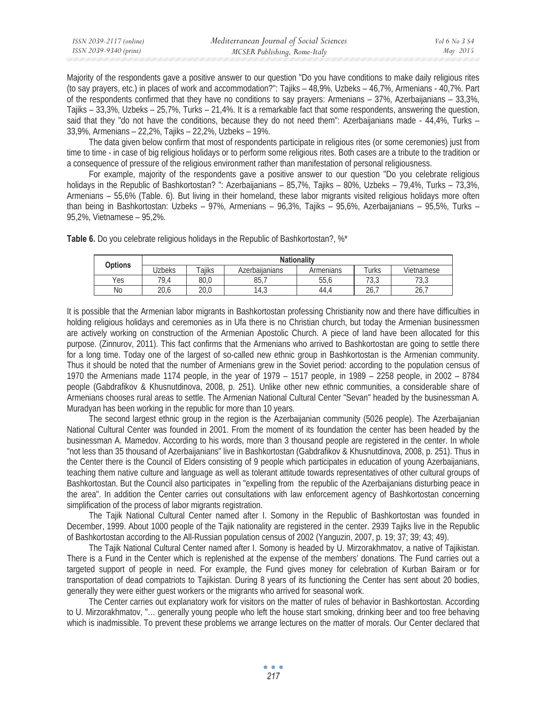| ISSN 2039-2117 (online) | Mediterranean Journal of Social Sciences | Vol 6 No 3 S4 |
|-------------------------|------------------------------------------|---------------|
| ISSN 2039-9340 (print)  | MCSER Publishing, Rome-Italy             | May 2015      |

Majority of the respondents gave a positive answer to our question "Do you have conditions to make daily religious rites (to say prayers, etc.) in places of work and accommodation?": Tajiks – 48,9%, Uzbeks – 46,7%, Armenians - 40,7%. Part of the respondents confirmed that they have no conditions to say prayers: Armenians – 37%, Azerbaijanians – 33,3%, Tajiks – 33,3%, Uzbeks – 25,7%, Turks – 21,4%. It is a remarkable fact that some respondents, answering the question, said that they "do not have the conditions, because they do not need them": Azerbaijanians made - 44,4%, Turks – 33,9%, Armenians – 22,2%, Tajiks – 22,2%, Uzbeks – 19%.

The data given below confirm that most of respondents participate in religious rites (or some ceremonies) just from time to time - in case of big religious holidays or to perform some religious rites. Both cases are a tribute to the tradition or a consequence of pressure of the religious environment rather than manifestation of personal religiousness.

For example, majority of the respondents gave a positive answer to our question "Do you celebrate religious holidays in the Republic of Bashkortostan? ": Azerbaijanians – 85,7%, Tajiks – 80%, Uzbeks – 79,4%, Turks – 73,3%, Armenians – 55,6% (Table. 6). But living in their homeland, these labor migrants visited religious holidays more often than being in Bashkortostan: Uzbeks – 97%, Armenians – 96,3%, Tajiks – 95,6%, Azerbaijanians – 95,5%, Turks – 95,2%, Vietnamese – 95,2%.

| <b>Options</b> | <b>Nationality</b> |        |                |           |                |                |  |  |  |
|----------------|--------------------|--------|----------------|-----------|----------------|----------------|--|--|--|
|                | Uzbeks             | ™aiiks | Azerbaiianians | Armenians | Turks          | Vietnamese     |  |  |  |
| Yes            | 79.4               | 80,0   | 85,7           | 55,6      | ר רד<br>່ ບ, ບ | 72.2<br>. ن. ت |  |  |  |
| N <sub>o</sub> | 20.6               | 20.0   | 14,3           | 44.4      | $\sim$<br>ZO., | $\sim$<br>26,  |  |  |  |

**Table 6.** Do you celebrate religious holidays in the Republic of Bashkortostan?, %\*

It is possible that the Armenian labor migrants in Bashkortostan professing Christianity now and there have difficulties in holding religious holidays and ceremonies as in Ufa there is no Christian church, but today the Armenian businessmen are actively working on construction of the Armenian Apostolic Church. A piece of land have been allocated for this purpose. (Zinnurov, 2011). This fact confirms that the Armenians who arrived to Bashkortostan are going to settle there for a long time. Today one of the largest of so-called new ethnic group in Bashkortostan is the Armenian community. Thus it should be noted that the number of Armenians grew in the Soviet period: according to the population census of 1970 the Armenians made 1174 people, in the year of 1979 – 1517 people, in 1989 – 2258 people, in 2002 – 8784 people (Gabdrafikov & Khusnutdinova, 2008, p. 251). Unlike other new ethnic communities, a considerable share of Armenians chooses rural areas to settle. The Armenian National Cultural Center "Sevan" headed by the businessman A. Muradyan has been working in the republic for more than 10 years.

The second largest ethnic group in the region is the Azerbaijanian community (5026 people). The Azerbaijanian National Cultural Center was founded in 2001. From the moment of its foundation the center has been headed by the businessman A. Mamedov. According to his words, more than 3 thousand people are registered in the center. In whole "not less than 35 thousand of Azerbaijanians" live in Bashkortostan (Gabdrafikov & Khusnutdinova, 2008, p. 251). Thus in the Center there is the Council of Elders consisting of 9 people which participates in education of young Azerbaijanians, teaching them native culture and language as well as tolerant attitude towards representatives of other cultural groups of Bashkortostan. But the Council also participates in "expelling from the republic of the Azerbaijanians disturbing peace in the area". In addition the Center carries out consultations with law enforcement agency of Bashkortostan concerning simplification of the process of labor migrants registration.

The Tajik National Cultural Center named after I. Somony in the Republic of Bashkortostan was founded in December, 1999. About 1000 people of the Tajik nationality are registered in the center. 2939 Tajiks live in the Republic of Bashkortostan according to the All-Russian population census of 2002 (Yanguzin, 2007, p. 19; 37; 39; 43; 49).

The Tajik National Cultural Center named after I. Somony is headed by U. Mirzorakhmatov, a native of Tajikistan. There is a Fund in the Center which is replenished at the expense of the members' donations. The Fund carries out a targeted support of people in need. For example, the Fund gives money for celebration of Kurban Bairam or for transportation of dead compatriots to Tajikistan. During 8 years of its functioning the Center has sent about 20 bodies, generally they were either guest workers or the migrants who arrived for seasonal work.

The Center carries out explanatory work for visitors on the matter of rules of behavior in Bashkortostan. According to U. Mirzorakhmatov, "… generally young people who left the house start smoking, drinking beer and too free behaving which is inadmissible. To prevent these problems we arrange lectures on the matter of morals. Our Center declared that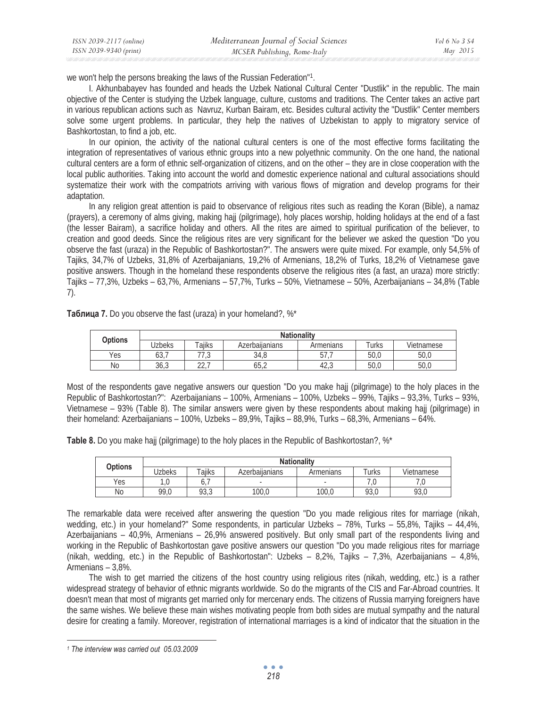| ISSN 2039-2117 (online) | Mediterranean Journal of Social Sciences | Vol 6 No 3 S4 |
|-------------------------|------------------------------------------|---------------|
| ISSN 2039-9340 (print)  | MCSER Publishing, Rome-Italy             | May 2015      |

we won't help the persons breaking the laws of the Russian Federation"1.

I. Akhunbabayev has founded and heads the Uzbek National Cultural Center "Dustlik" in the republic. The main objective of the Center is studying the Uzbek language, culture, customs and traditions. The Center takes an active part in various republican actions such as Navruz, Kurban Bairam, etc. Besides cultural activity the "Dustlik" Center members solve some urgent problems. In particular, they help the natives of Uzbekistan to apply to migratory service of Bashkortostan, to find a job, etc.

In our opinion, the activity of the national cultural centers is one of the most effective forms facilitating the integration of representatives of various ethnic groups into a new polyethnic community. On the one hand, the national cultural centers are a form of ethnic self-organization of citizens, and on the other – they are in close cooperation with the local public authorities. Taking into account the world and domestic experience national and cultural associations should systematize their work with the compatriots arriving with various flows of migration and develop programs for their adaptation.

In any religion great attention is paid to observance of religious rites such as reading the Koran (Bible), a namaz (prayers), a ceremony of alms giving, making hajj (pilgrimage), holy places worship, holding holidays at the end of a fast (the lesser Bairam), a sacrifice holiday and others. All the rites are aimed to spiritual purification of the believer, to creation and good deeds. Since the religious rites are very significant for the believer we asked the question "Do you observe the fast (uraza) in the Republic of Bashkortostan?". The answers were quite mixed. For example, only 54,5% of Tajiks, 34,7% of Uzbeks, 31,8% of Azerbaijanians, 19,2% of Armenians, 18,2% of Turks, 18,2% of Vietnamese gave positive answers. Though in the homeland these respondents observe the religious rites (a fast, an uraza) more strictly: Tajiks – 77,3%, Uzbeks – 63,7%, Armenians – 57,7%, Turks – 50%, Vietnamese – 50%, Azerbaijanians – 34,8% (Table 7).

Tаблица 7. Do you observe the fast (uraza) in your homeland?, %\*

| <b>Options</b> |              | <b>Nationality</b> |                |           |       |            |  |  |  |  |
|----------------|--------------|--------------------|----------------|-----------|-------|------------|--|--|--|--|
|                | Jzbeks       | $\tau$ aiiks       | Azerbailanians | Armenians | īurks | Vietnamese |  |  |  |  |
| Yes            | ר מי<br>03,1 | $\sim$<br>ن,       | 34,8           | ، ، ن     | 50.0  | 50,0       |  |  |  |  |
| No             | 36,3         | $\cap$<br>LL.      | 65,2           | 42,3      | 50.0  | 50,0       |  |  |  |  |

Most of the respondents gave negative answers our question "Do you make hajj (pilgrimage) to the holy places in the Republic of Bashkortostan?": Azerbaijanians – 100%, Armenians – 100%, Uzbeks – 99%, Tajiks – 93,3%, Turks – 93%, Vietnamese – 93% (Table 8). The similar answers were given by these respondents about making hajj (pilgrimage) in their homeland: Azerbaijanians – 100%, Uzbeks – 89,9%, Tajiks – 88,9%, Turks – 68,3%, Armenians – 64%.

**Table 8.** Do you make hajj (pilgrimage) to the holy places in the Republic of Bashkortostan?, %\*

| <b>Options</b> |                       | <b>Nationality</b> |                          |                          |            |      |  |  |  |  |  |
|----------------|-----------------------|--------------------|--------------------------|--------------------------|------------|------|--|--|--|--|--|
| Jzbeks         | $\tau$ aiiks          | Azerbailanians     | Armenians                | Turks                    | Vietnamese |      |  |  |  |  |  |
| Yes            | 1 <sub>0</sub><br>ں ، | Ο.                 | $\overline{\phantom{a}}$ | $\overline{\phantom{a}}$ |            | , v  |  |  |  |  |  |
| No             | 99,0                  | 93,3               | 100,0                    | 100,0                    | 93,0       | 93,0 |  |  |  |  |  |

The remarkable data were received after answering the question "Do you made religious rites for marriage (nikah, wedding, etc.) in your homeland?" Some respondents, in particular Uzbeks – 78%, Turks – 55,8%, Tajiks – 44,4%, Azerbaijanians – 40,9%, Armenians – 26,9% answered positively. But only small part of the respondents living and working in the Republic of Bashkortostan gave positive answers our question "Do you made religious rites for marriage (nikah, wedding, etc.) in the Republic of Bashkortostan": Uzbeks – 8,2%, Tajiks – 7,3%, Azerbaijanians – 4,8%, Armenians – 3,8%.

The wish to get married the citizens of the host country using religious rites (nikah, wedding, etc.) is a rather widespread strategy of behavior of ethnic migrants worldwide. So do the migrants of the CIS and Far-Abroad countries. It doesn't mean that most of migrants get married only for mercenary ends. The citizens of Russia marrying foreigners have the same wishes. We believe these main wishes motivating people from both sides are mutual sympathy and the natural desire for creating a family. Moreover, registration of international marriages is a kind of indicator that the situation in the

*<sup>1</sup> The interview was carried out 05.03.2009*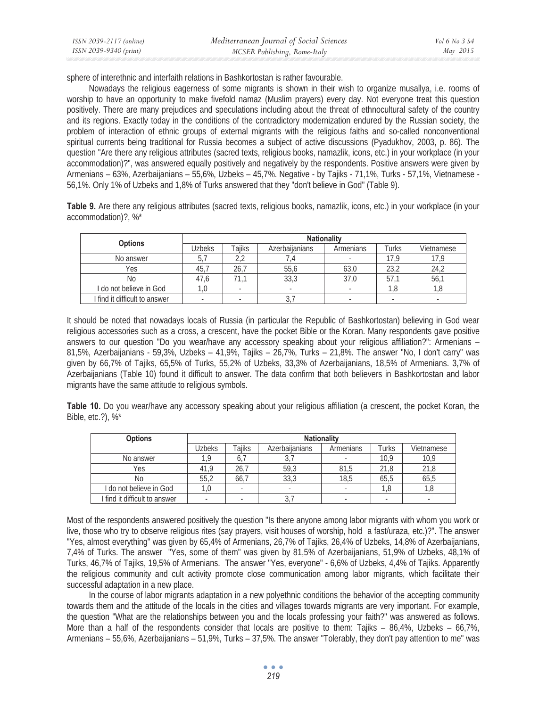| ISSN 2039-2117 (online) | Mediterranean Journal of Social Sciences | Vol 6 No 3 S4 |
|-------------------------|------------------------------------------|---------------|
| ISSN 2039-9340 (print)  | MCSER Publishing, Rome-Italy             | May 2015      |

sphere of interethnic and interfaith relations in Bashkortostan is rather favourable.

Nowadays the religious eagerness of some migrants is shown in their wish to organize musallya, i.e. rooms of worship to have an opportunity to make fivefold namaz (Muslim prayers) every day. Not everyone treat this question positively. There are many prejudices and speculations including about the threat of ethnocultural safety of the country and its regions. Exactly today in the conditions of the contradictory modernization endured by the Russian society, the problem of interaction of ethnic groups of external migrants with the religious faiths and so-called nonconventional spiritual currents being traditional for Russia becomes a subject of active discussions (Pyadukhov, 2003, p. 86). The question "Are there any religious attributes (sacred texts, religious books, namazlik, icons, etc.) in your workplace (in your accommodation)?", was answered equally positively and negatively by the respondents. Positive answers were given by Armenians – 63%, Azerbaijanians – 55,6%, Uzbeks – 45,7%. Negative - by Tajiks - 71,1%, Turks - 57,1%, Vietnamese - 56,1%. Only 1% of Uzbeks and 1,8% of Turks answered that they "don't believe in God" (Table 9).

**Table 9.** Are there any religious attributes (sacred texts, religious books, namazlik, icons, etc.) in your workplace (in your accommodation)?, %\*

|                               | <b>Nationality</b> |              |                       |           |       |            |  |  |
|-------------------------------|--------------------|--------------|-----------------------|-----------|-------|------------|--|--|
| <b>Options</b>                | Uzbeks             | $\tau$ aiiks | <b>Azerbailanians</b> | Armenians | Turks | Vietnamese |  |  |
| No answer                     |                    |              |                       |           | 17 Q  |            |  |  |
| Yes                           | 45.7               | 26.          | 55,6                  | 63,0      | 23.2  | 24,2       |  |  |
| No                            | 47.6               | 71.1         | 33,3                  | 37.0      | 57.1  | 56.        |  |  |
| I do not believe in God       |                    |              |                       |           | 1.8   |            |  |  |
| I find it difficult to answer |                    |              | J                     |           |       |            |  |  |

It should be noted that nowadays locals of Russia (in particular the Republic of Bashkortostan) believing in God wear religious accessories such as a cross, a crescent, have the pocket Bible or the Koran. Many respondents gave positive answers to our question "Do you wear/have any accessory speaking about your religious affiliation?": Armenians – 81,5%, Azerbaijanians - 59,3%, Uzbeks – 41,9%, Tajiks – 26,7%, Turks – 21,8%. The answer "No, I don't carry" was given by 66,7% of Tajiks, 65,5% of Turks, 55,2% of Uzbeks, 33,3% of Azerbaijanians, 18,5% of Armenians. 3,7% of Azerbaijanians (Table 10) found it difficult to answer. The data confirm that both believers in Bashkortostan and labor migrants have the same attitude to religious symbols.

**Table 10.** Do you wear/have any accessory speaking about your religious affiliation (a crescent, the pocket Koran, the Bible, etc.?), %\*

| <b>Options</b>                | <b>Nationality</b> |               |                       |           |       |            |
|-------------------------------|--------------------|---------------|-----------------------|-----------|-------|------------|
|                               | Uzbeks             | <b>Taiiks</b> | <b>Azerbailanians</b> | Armenians | Turks | Vietnamese |
| No answer                     | 1 O                | 0.            | ັບ,                   |           | 10.9  | 10.9       |
| Yes                           | 41.9               | 26.7          | 59,3                  | 81,5      | 21.8  | 21.8       |
| No                            | 55.2               | 66.7          | 33,3                  | 18,5      | 65.5  | 65,5       |
| I do not believe in God       | ' ,0               |               |                       |           | 1.8   |            |
| I find it difficult to answer |                    |               | . ن                   |           |       |            |

Most of the respondents answered positively the question "Is there anyone among labor migrants with whom you work or live, those who try to observe religious rites (say prayers, visit houses of worship, hold a fast/uraza, etc.)?". The answer "Yes, almost everything" was given by 65,4% of Armenians, 26,7% of Tajiks, 26,4% of Uzbeks, 14,8% of Azerbaijanians, 7,4% of Turks. The answer "Yes, some of them" was given by 81,5% of Azerbaijanians, 51,9% of Uzbeks, 48,1% of Turks, 46,7% of Tajiks, 19,5% of Armenians. The answer "Yes, everyone" - 6,6% of Uzbeks, 4,4% of Tajiks. Apparently the religious community and cult activity promote close communication among labor migrants, which facilitate their successful adaptation in a new place.

In the course of labor migrants adaptation in a new polyethnic conditions the behavior of the accepting community towards them and the attitude of the locals in the cities and villages towards migrants are very important. For example, the question "What are the relationships between you and the locals professing your faith?" was answered as follows. More than a half of the respondents consider that locals are positive to them: Tajiks – 86,4%, Uzbeks – 66,7%, Armenians – 55,6%, Azerbaijanians – 51,9%, Turks – 37,5%. The answer "Tolerably, they don't pay attention to me" was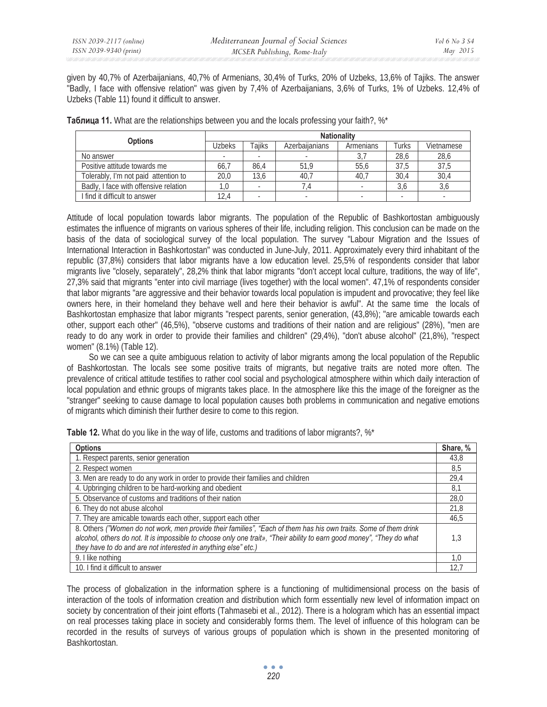given by 40,7% of Azerbaijanians, 40,7% of Armenians, 30,4% of Turks, 20% of Uzbeks, 13,6% of Tajiks. The answer "Badly, I face with offensive relation" was given by 7,4% of Azerbaijanians, 3,6% of Turks, 1% of Uzbeks. 12,4% of Uzbeks (Table 11) found it difficult to answer.

| <b>Options</b>                        | <b>Nationality</b> |               |                       |           |       |            |  |
|---------------------------------------|--------------------|---------------|-----------------------|-----------|-------|------------|--|
|                                       | Uzbeks             | <b>Taiiks</b> | <b>Azerbailanians</b> | Armenians | Turks | Vietnamese |  |
| No answer                             |                    |               |                       |           | 28.6  | 28,6       |  |
| Positive attitude towards me          | 66.7               | 86.4          | 51.9                  | 55.6      | 37.5  | 37,5       |  |
| Tolerably, I'm not paid attention to  | 20.0               | 13.6          | 40.7                  | 40,7      | 30.4  | 30,4       |  |
| Badly, I face with offensive relation |                    |               |                       |           | 3,6   | 3,6        |  |
| I find it difficult to answer         | 12,4               |               |                       |           |       |            |  |

**Таблица 11.** What are the relationships between you and the locals professing your faith?, %\*

Attitude of local population towards labor migrants. The population of the Republic of Bashkortostan ambiguously estimates the influence of migrants on various spheres of their life, including religion. This conclusion can be made on the basis of the data of sociological survey of the local population. The survey "Labour Migration and the Issues of International Interaction in Bashkortostan" was conducted in June-July, 2011. Approximately every third inhabitant of the republic (37,8%) considers that labor migrants have a low education level. 25,5% of respondents consider that labor migrants live "closely, separately", 28,2% think that labor migrants "don't accept local culture, traditions, the way of life", 27,3% said that migrants "enter into civil marriage (lives together) with the local women". 47,1% of respondents consider that labor migrants "are aggressive and their behavior towards local population is impudent and provocative; they feel like owners here, in their homeland they behave well and here their behavior is awful". At the same time the locals of Bashkortostan emphasize that labor migrants "respect parents, senior generation, (43,8%); "are amicable towards each other, support each other" (46,5%), "observe customs and traditions of their nation and are religious" (28%), "men are ready to do any work in order to provide their families and children" (29,4%), "don't abuse alcohol" (21,8%), "respect women" (8.1%) (Table 12).

So we can see a quite ambiguous relation to activity of labor migrants among the local population of the Republic of Bashkortostan. The locals see some positive traits of migrants, but negative traits are noted more often. The prevalence of critical attitude testifies to rather cool social and psychological atmosphere within which daily interaction of local population and ethnic groups of migrants takes place. In the atmosphere like this the image of the foreigner as the "stranger" seeking to cause damage to local population causes both problems in communication and negative emotions of migrants which diminish their further desire to come to this region.

| <b>Options</b>                                                                                                                                                                                                                                                                                              | Share, % |
|-------------------------------------------------------------------------------------------------------------------------------------------------------------------------------------------------------------------------------------------------------------------------------------------------------------|----------|
| 1. Respect parents, senior generation                                                                                                                                                                                                                                                                       | 43,8     |
| 2. Respect women                                                                                                                                                                                                                                                                                            | 8,5      |
| 3. Men are ready to do any work in order to provide their families and children                                                                                                                                                                                                                             | 29,4     |
| 4. Upbringing children to be hard-working and obedient                                                                                                                                                                                                                                                      | 8.1      |
| 5. Observance of customs and traditions of their nation                                                                                                                                                                                                                                                     | 28,0     |
| 6. They do not abuse alcohol                                                                                                                                                                                                                                                                                | 21.8     |
| 7. They are amicable towards each other, support each other                                                                                                                                                                                                                                                 | 46.5     |
| 8. Others ("Women do not work, men provide their families", "Each of them has his own traits. Some of them drink<br>alcohol, others do not. It is impossible to choose only one trait», "Their ability to earn good money", "They do what<br>they have to do and are not interested in anything else" etc.) | L3       |
| 9. I like nothing                                                                                                                                                                                                                                                                                           | 1.0      |
| 10. I find it difficult to answer                                                                                                                                                                                                                                                                           | 12.      |

**Table 12.** What do you like in the way of life, customs and traditions of labor migrants?, %\*

The process of globalization in the information sphere is a functioning of multidimensional process on the basis of interaction of the tools of information creation and distribution which form essentially new level of information impact on society by concentration of their joint efforts (Tahmasebi et al., 2012). There is a hologram which has an essential impact on real processes taking place in society and considerably forms them. The level of influence of this hologram can be recorded in the results of surveys of various groups of population which is shown in the presented monitoring of Bashkortostan.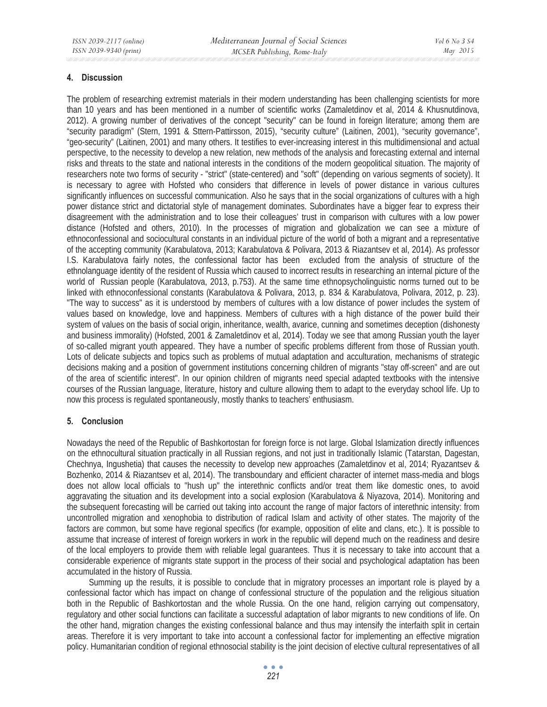#### **4. Discussion**

The problem of researching extremist materials in their modern understanding has been challenging scientists for more than 10 years and has been mentioned in a number of scientific works (Zamaletdinov et al, 2014 & Khusnutdinova, 2012). A growing number of derivatives of the concept "security" can be found in foreign literature; among them are "security paradigm" (Stern, 1991 & Sttern-Pattirsson, 2015), "security culture" (Laitinen, 2001), "security governance", "geo-security" (Laitinen, 2001) and many others. It testifies to ever-increasing interest in this multidimensional and actual perspective, to the necessity to develop a new relation, new methods of the analysis and forecasting external and internal risks and threats to the state and national interests in the conditions of the modern geopolitical situation. The majority of researchers note two forms of security - "strict" (state-centered) and "soft" (depending on various segments of society). It is necessary to agree with Hofsted who considers that difference in levels of power distance in various cultures significantly influences on successful communication. Also he says that in the social organizations of cultures with a high power distance strict and dictatorial style of management dominates. Subordinates have a bigger fear to express their disagreement with the administration and to lose their colleagues' trust in comparison with cultures with a low power distance (Hofsted and others, 2010). In the processes of migration and globalization we can see a mixture of ethnoconfessional and sociocultural constants in an individual picture of the world of both a migrant and a representative of the accepting community (Karabulatova, 2013; Karabulatova & Polivara, 2013 & Riazantsev et al, 2014). As professor I.S. Karabulatova fairly notes, the confessional factor has been excluded from the analysis of structure of the ethnolanguage identity of the resident of Russia which caused to incorrect results in researching an internal picture of the world of Russian people (Karabulatova, 2013, p.753). At the same time ethnopsycholinguistic norms turned out to be linked with ethnoconfessional constants (Karabulatova & Polivara, 2013, p. 834 & Karabulatova, Polivara, 2012, p. 23). "The way to success" as it is understood by members of cultures with a low distance of power includes the system of values based on knowledge, love and happiness. Members of cultures with a high distance of the power build their system of values on the basis of social origin, inheritance, wealth, avarice, cunning and sometimes deception (dishonesty and business immorality) (Hofsted, 2001 & Zamaletdinov et al, 2014). Today we see that among Russian youth the layer of so-called migrant youth appeared. They have a number of specific problems different from those of Russian youth. Lots of delicate subjects and topics such as problems of mutual adaptation and acculturation, mechanisms of strategic decisions making and a position of government institutions concerning children of migrants "stay off-screen" and are out of the area of scientific interest". In our opinion children of migrants need special adapted textbooks with the intensive courses of the Russian language, literature, history and culture allowing them to adapt to the everyday school life. Up to now this process is regulated spontaneously, mostly thanks to teachers' enthusiasm.

#### **5. Conclusion**

Nowadays the need of the Republic of Bashkortostan for foreign force is not large. Global Islamization directly influences on the ethnocultural situation practically in all Russian regions, and not just in traditionally Islamic (Tatarstan, Dagestan, Chechnya, Ingushetia) that causes the necessity to develop new approaches (Zamaletdinov et al, 2014; Ryazantsev & Bozhenko, 2014 & Riazantsev et al, 2014). The transboundary and efficient character of internet mass-media and blogs does not allow local officials to "hush up" the interethnic conflicts and/or treat them like domestic ones, to avoid aggravating the situation and its development into a social explosion (Karabulatova & Niyazova, 2014). Monitoring and the subsequent forecasting will be carried out taking into account the range of major factors of interethnic intensity: from uncontrolled migration and xenophobia to distribution of radical Islam and activity of other states. The majority of the factors are common, but some have regional specifics (for example, opposition of elite and clans, etc.). It is possible to assume that increase of interest of foreign workers in work in the republic will depend much on the readiness and desire of the local employers to provide them with reliable legal guarantees. Thus it is necessary to take into account that a considerable experience of migrants state support in the process of their social and psychological adaptation has been accumulated in the history of Russia.

Summing up the results, it is possible to conclude that in migratory processes an important role is played by a confessional factor which has impact on change of confessional structure of the population and the religious situation both in the Republic of Bashkortostan and the whole Russia. On the one hand, religion carrying out compensatory, regulatory and other social functions can facilitate a successful adaptation of labor migrants to new conditions of life. On the other hand, migration changes the existing confessional balance and thus may intensify the interfaith split in certain areas. Therefore it is very important to take into account a confessional factor for implementing an effective migration policy. Humanitarian condition of regional ethnosocial stability is the joint decision of elective cultural representatives of all